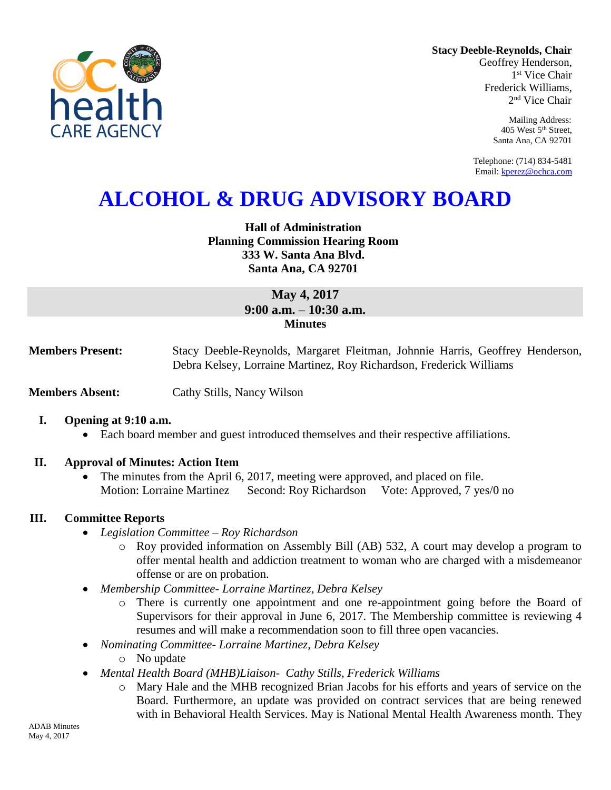

**Stacy Deeble-Reynolds, Chair** Geoffrey Henderson,

1 st Vice Chair Frederick Williams, 2 nd Vice Chair

> Mailing Address: 405 West 5th Street, Santa Ana, CA 92701

Telephone: (714) 834-5481 Email[: kperez@ochca.com](mailto:kperez@ochca.com)

# **ALCOHOL & DRUG ADVISORY BOARD**

**Hall of Administration Planning Commission Hearing Room 333 W. Santa Ana Blvd. Santa Ana, CA 92701** 

> **May 4, 2017 9:00 a.m. – 10:30 a.m. Minutes**

**Members Present:** Stacy Deeble-Reynolds, Margaret Fleitman, Johnnie Harris, Geoffrey Henderson, Debra Kelsey, Lorraine Martinez, Roy Richardson, Frederick Williams

**Members Absent:** Cathy Stills, Nancy Wilson

#### **I. Opening at 9:10 a.m.**

Each board member and guest introduced themselves and their respective affiliations.

#### **II. Approval of Minutes: Action Item**

• The minutes from the April 6, 2017, meeting were approved, and placed on file. Motion: Lorraine Martinez Second: Roy Richardson Vote: Approved, 7 yes/0 no

#### **III. Committee Reports**

- *Legislation Committee – Roy Richardson*
	- o Roy provided information on Assembly Bill (AB) 532, A court may develop a program to offer mental health and addiction treatment to woman who are charged with a misdemeanor offense or are on probation.
- *Membership Committee- Lorraine Martinez, Debra Kelsey* 
	- o There is currently one appointment and one re-appointment going before the Board of Supervisors for their approval in June 6, 2017. The Membership committee is reviewing 4 resumes and will make a recommendation soon to fill three open vacancies.
- *Nominating Committee- Lorraine Martinez, Debra Kelsey*
	- o No update
- *Mental Health Board (MHB)Liaison- Cathy Stills, Frederick Williams*
	- o Mary Hale and the MHB recognized Brian Jacobs for his efforts and years of service on the Board. Furthermore, an update was provided on contract services that are being renewed with in Behavioral Health Services. May is National Mental Health Awareness month. They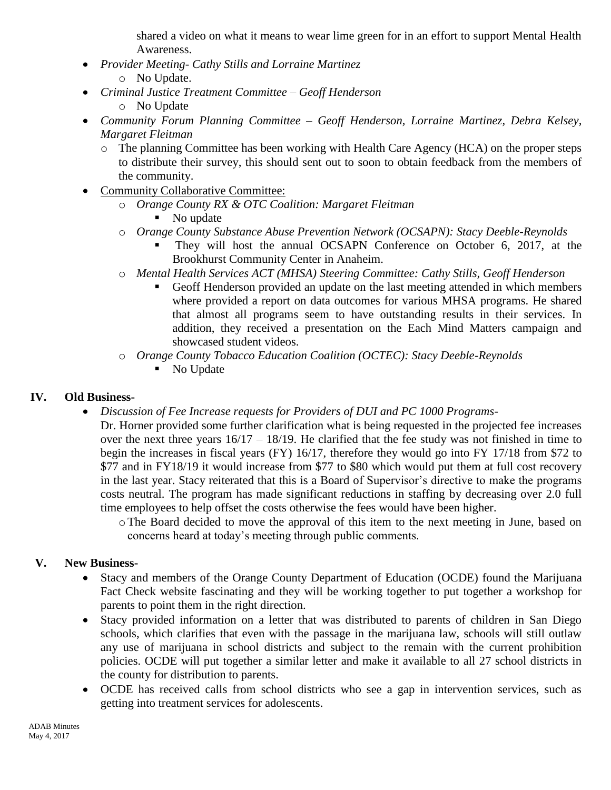shared a video on what it means to wear lime green for in an effort to support Mental Health Awareness.

- *Provider Meeting- Cathy Stills and Lorraine Martinez* o No Update.
- *Criminal Justice Treatment Committee – Geoff Henderson* o No Update
- *Community Forum Planning Committee – Geoff Henderson, Lorraine Martinez, Debra Kelsey, Margaret Fleitman*
	- o The planning Committee has been working with Health Care Agency (HCA) on the proper steps to distribute their survey, this should sent out to soon to obtain feedback from the members of the community.
- Community Collaborative Committee:
	- o *Orange County RX & OTC Coalition: Margaret Fleitman*
		- No update
	- o *Orange County Substance Abuse Prevention Network (OCSAPN): Stacy Deeble-Reynolds*
		- They will host the annual OCSAPN Conference on October 6, 2017, at the Brookhurst Community Center in Anaheim.
	- o *Mental Health Services ACT (MHSA) Steering Committee: Cathy Stills, Geoff Henderson*
		- Geoff Henderson provided an update on the last meeting attended in which members where provided a report on data outcomes for various MHSA programs. He shared that almost all programs seem to have outstanding results in their services. In addition, they received a presentation on the Each Mind Matters campaign and showcased student videos.
	- o *Orange County Tobacco Education Coalition (OCTEC): Stacy Deeble-Reynolds*
		- No Update

# **IV. Old Business-**

- *Discussion of Fee Increase requests for Providers of DUI and PC 1000 Programs-*
	- Dr. Horner provided some further clarification what is being requested in the projected fee increases over the next three years  $16/17 - 18/19$ . He clarified that the fee study was not finished in time to begin the increases in fiscal years (FY) 16/17, therefore they would go into FY 17/18 from \$72 to \$77 and in FY18/19 it would increase from \$77 to \$80 which would put them at full cost recovery in the last year. Stacy reiterated that this is a Board of Supervisor's directive to make the programs costs neutral. The program has made significant reductions in staffing by decreasing over 2.0 full time employees to help offset the costs otherwise the fees would have been higher.
		- oThe Board decided to move the approval of this item to the next meeting in June, based on concerns heard at today's meeting through public comments.

# **V. New Business-**

- Stacy and members of the Orange County Department of Education (OCDE) found the Marijuana Fact Check website fascinating and they will be working together to put together a workshop for parents to point them in the right direction.
- Stacy provided information on a letter that was distributed to parents of children in San Diego schools, which clarifies that even with the passage in the marijuana law, schools will still outlaw any use of marijuana in school districts and subject to the remain with the current prohibition policies. OCDE will put together a similar letter and make it available to all 27 school districts in the county for distribution to parents.
- OCDE has received calls from school districts who see a gap in intervention services, such as getting into treatment services for adolescents.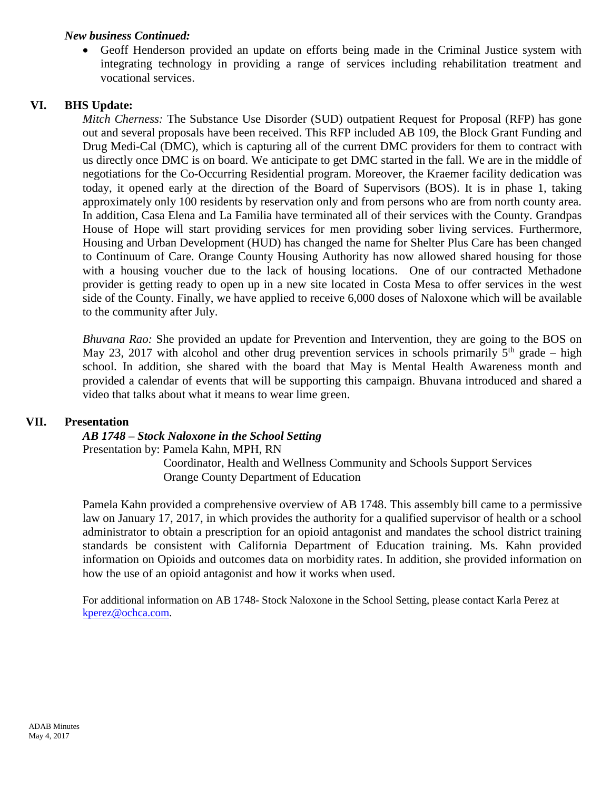#### *New business Continued:*

 Geoff Henderson provided an update on efforts being made in the Criminal Justice system with integrating technology in providing a range of services including rehabilitation treatment and vocational services.

#### **VI. BHS Update:**

*Mitch Cherness:* The Substance Use Disorder (SUD) outpatient Request for Proposal (RFP) has gone out and several proposals have been received. This RFP included AB 109, the Block Grant Funding and Drug Medi-Cal (DMC), which is capturing all of the current DMC providers for them to contract with us directly once DMC is on board. We anticipate to get DMC started in the fall. We are in the middle of negotiations for the Co-Occurring Residential program. Moreover, the Kraemer facility dedication was today, it opened early at the direction of the Board of Supervisors (BOS). It is in phase 1, taking approximately only 100 residents by reservation only and from persons who are from north county area. In addition, Casa Elena and La Familia have terminated all of their services with the County. Grandpas House of Hope will start providing services for men providing sober living services. Furthermore, Housing and Urban Development (HUD) has changed the name for Shelter Plus Care has been changed to Continuum of Care. Orange County Housing Authority has now allowed shared housing for those with a housing voucher due to the lack of housing locations. One of our contracted Methadone provider is getting ready to open up in a new site located in Costa Mesa to offer services in the west side of the County. Finally, we have applied to receive 6,000 doses of Naloxone which will be available to the community after July.

*Bhuvana Rao:* She provided an update for Prevention and Intervention, they are going to the BOS on May 23, 2017 with alcohol and other drug prevention services in schools primarily  $5<sup>th</sup>$  grade – high school. In addition, she shared with the board that May is Mental Health Awareness month and provided a calendar of events that will be supporting this campaign. Bhuvana introduced and shared a video that talks about what it means to wear lime green.

#### **VII. Presentation**

*AB 1748 – Stock Naloxone in the School Setting*

Presentation by: Pamela Kahn, MPH, RN

 Coordinator, Health and Wellness Community and Schools Support Services Orange County Department of Education

Pamela Kahn provided a comprehensive overview of AB 1748. This assembly bill came to a permissive law on January 17, 2017, in which provides the authority for a qualified supervisor of health or a school administrator to obtain a prescription for an opioid antagonist and mandates the school district training standards be consistent with California Department of Education training. Ms. Kahn provided information on Opioids and outcomes data on morbidity rates. In addition, she provided information on how the use of an opioid antagonist and how it works when used.

For additional information on AB 1748- Stock Naloxone in the School Setting, please contact Karla Perez at [kperez@ochca.com.](mailto:kperez@ochca.com)